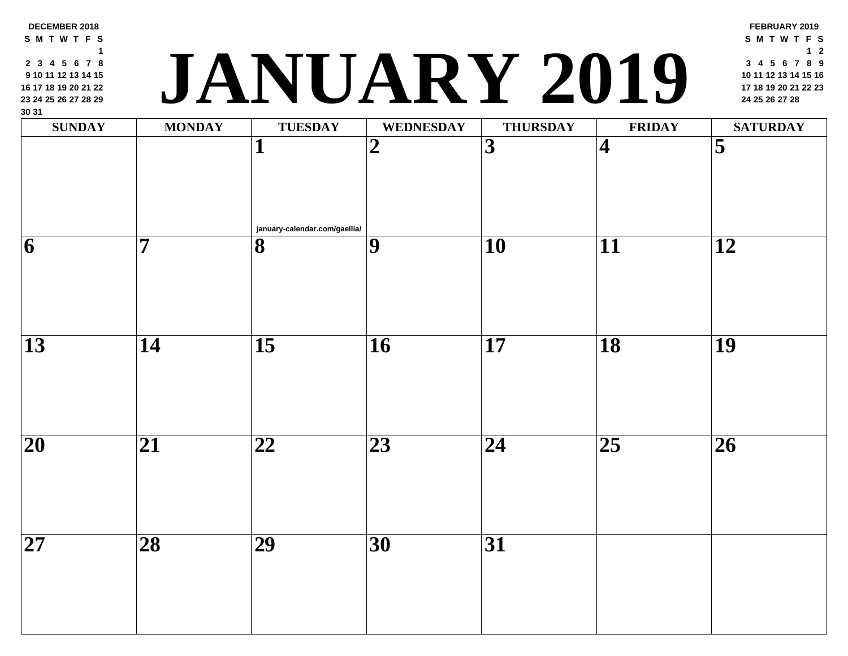| 30 31<br><b>SUNDAY</b> | <b>MONDAY</b>   | <b>TUESDAY</b>                | <b>WEDNESDAY</b> | <b>THURSDAY</b> | <b>FRII</b>             |
|------------------------|-----------------|-------------------------------|------------------|-----------------|-------------------------|
|                        |                 | $\mathbf 1$                   | $\boldsymbol{2}$ | 3               | $\overline{\mathbf{4}}$ |
|                        | 7               | january-calendar.com/gaellia/ |                  |                 |                         |
| 6                      |                 | 8                             | 9                | 10              | 11                      |
| $\overline{13}$        | 14              | $\overline{15}$               | <b>16</b>        | 17              | $\overline{18}$         |
| 20                     | 21              | 22                            | 23               | 24              | 25                      |
| $\overline{27}$        | $\overline{28}$ | $\overline{29}$               | $\overline{30}$  | $\overline{31}$ |                         |

# **<sup>17</sup> <sup>18</sup> <sup>19</sup> <sup>20</sup> <sup>21</sup> <sup>22</sup> <sup>23</sup> JANUARY 2019 <sup>24</sup> <sup>25</sup> <sup>26</sup> <sup>27</sup> <sup>28</sup>**

**DECEMBER 2018 S M T W T F S**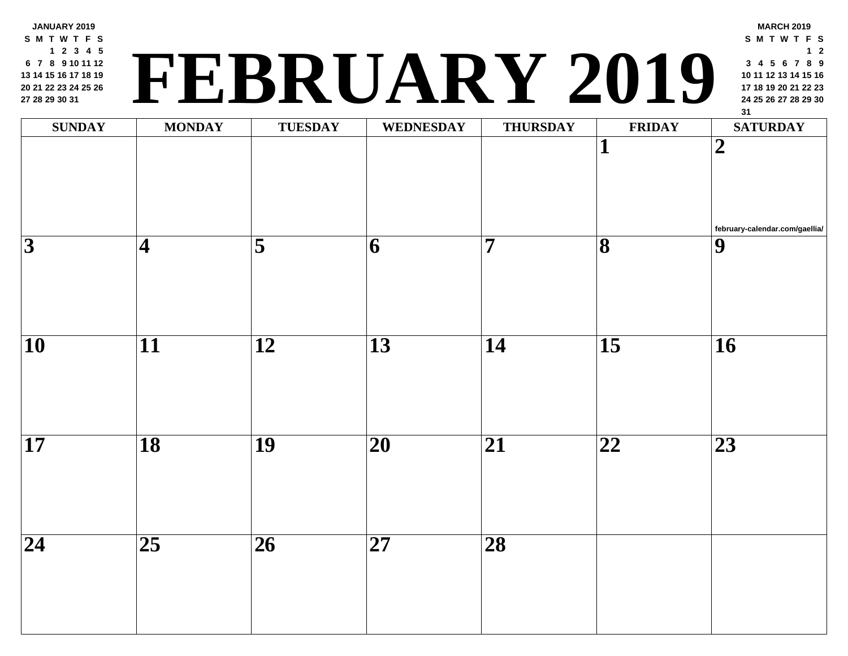**JANUARY 2019 S M T W T F S 2 3 4 5 7 8 9 10 11 12 14 15 16 17 18 19 21 22 23 24 25 26 28 29 30 31**

## **<sup>24</sup> <sup>25</sup> <sup>26</sup> <sup>27</sup> <sup>28</sup> <sup>29</sup> <sup>30</sup> FEBRUARY 2019**

| <b>SUNDAY</b>           | <b>MONDAY</b>            | <b>TUESDAY</b>  | WEDNESDAY       | <b>THURSDAY</b>         | FRII                         |
|-------------------------|--------------------------|-----------------|-----------------|-------------------------|------------------------------|
|                         |                          |                 |                 |                         | $\mathbf{1}$                 |
| $\overline{\mathbf{3}}$ | $\vert 4 \vert$          | $\overline{5}$  | $\overline{6}$  | $\overline{\mathbf{7}}$ | $\overline{\mathbf{8}}$      |
| $\overline{10}$         | $\overline{\mathbf{11}}$ | $\overline{12}$ | $\overline{13}$ | $\overline{14}$         | $\overline{15}$              |
| $\overline{17}$         | $\overline{18}$          | $\overline{19}$ | $\overline{20}$ | $\overline{21}$         | $\overline{\boldsymbol{22}}$ |
| $\overline{24}$         | $\overline{25}$          | $\overline{26}$ | $\overline{27}$ | $\overline{28}$         |                              |
|                         |                          |                 |                 |                         |                              |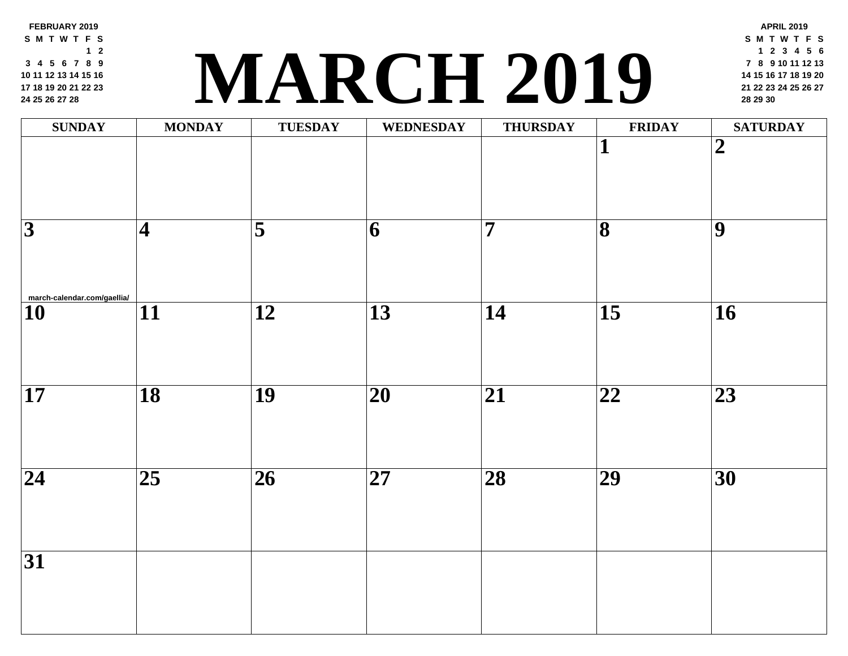**FEBRUARY 2019 S M T W T F S 2 4 5 6 7 8 9 11 12 13 14 15 16 18 19 20 21 22 23 [25](http://march-calendar.com/gaellia/) 26 27 28**

## **<sup>21</sup> <sup>22</sup> <sup>23</sup> <sup>24</sup> <sup>25</sup> <sup>26</sup> <sup>27</sup> MARCH 2019 <sup>28</sup> <sup>29</sup> <sup>30</sup>**

| <b>SUNDAY</b>                                                 | <b>MONDAY</b>           | <b>TUESDAY</b>      | <b>WEDNESDAY</b>        | <b>THURSDAY</b>         | FRII                         |
|---------------------------------------------------------------|-------------------------|---------------------|-------------------------|-------------------------|------------------------------|
|                                                               |                         |                     |                         |                         | $\mathbf 1$                  |
| $\overline{\overline{3}}$                                     | $\overline{\mathbf{4}}$ | $\overline{\bf{5}}$ | $\overline{\mathbf{6}}$ | $\overline{\mathbf{7}}$ | $\overline{\mathbf{8}}$      |
| $\overbrace{\mathbf{10}}^{\text{mach-calendar.com/gaellia/}}$ | $\overline{11}$         | $\overline{12}$     | $\overline{13}$         | $\overline{14}$         | $\overline{15}$              |
| $\overline{17}$                                               | $\overline{18}$         | $\overline{19}$     | $\overline{20}$         | $\overline{21}$         | $\overline{\boldsymbol{22}}$ |
| $\overline{24}$                                               | $\overline{25}$         | $\overline{26}$     | $\overline{27}$         | $\overline{28}$         | $\overline{29}$              |
| $\overline{31}$                                               |                         |                     |                         |                         |                              |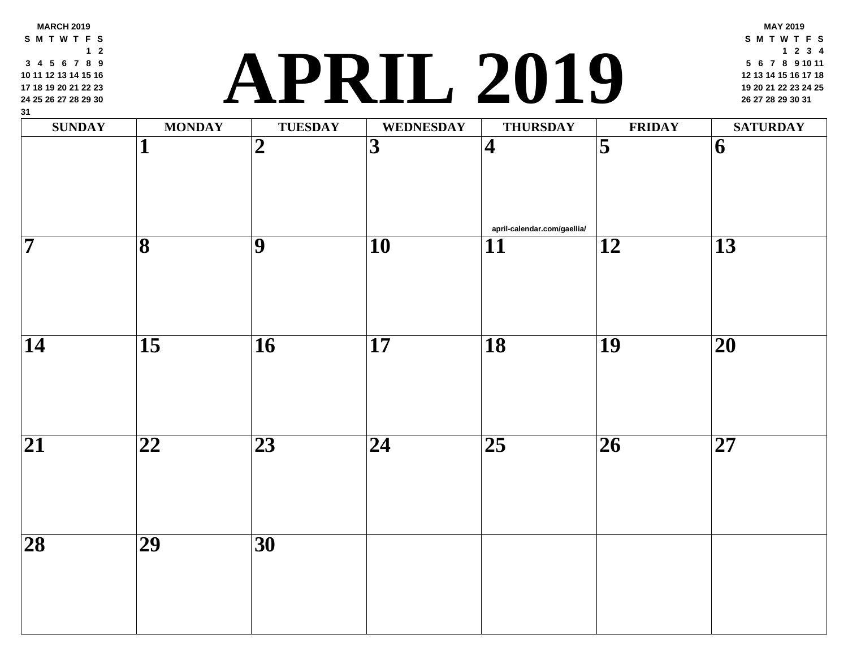## **<sup>19</sup> <sup>20</sup> <sup>21</sup> <sup>22</sup> <sup>23</sup> <sup>24</sup> <sup>25</sup> APRIL 2019 <sup>26</sup> <sup>27</sup> <sup>28</sup> <sup>29</sup> <sup>30</sup> <sup>31</sup>**

| $\frac{31}{2}$<br><b>SUNDAY</b> | <b>MONDAY</b>           | <b>TUESDAY</b>  | WEDNESDAY               | <b>THURSDAY</b>                                | FRII            |
|---------------------------------|-------------------------|-----------------|-------------------------|------------------------------------------------|-----------------|
|                                 | $\mathbf{1}$            | $\overline{2}$  | $\overline{\mathbf{3}}$ | $\vert 4 \vert$                                | $\overline{5}$  |
| $\overline{\mathbf{7}}$         | $\overline{\mathbf{8}}$ | $\overline{9}$  | $\overline{10}$         | april-calendar.com/gaellia/<br>$\overline{11}$ | $\overline{12}$ |
|                                 |                         |                 |                         |                                                |                 |
| $\overline{14}$                 | $\overline{15}$         | $\overline{16}$ | $\overline{17}$         | $\overline{18}$                                | $\overline{19}$ |
| $\overline{21}$                 | $\overline{22}$         | $\overline{23}$ | $\overline{24}$         | $\overline{25}$                                | $\overline{26}$ |
| $\overline{28}$                 | $\overline{29}$         | $\overline{30}$ |                         |                                                |                 |
|                                 |                         |                 |                         |                                                |                 |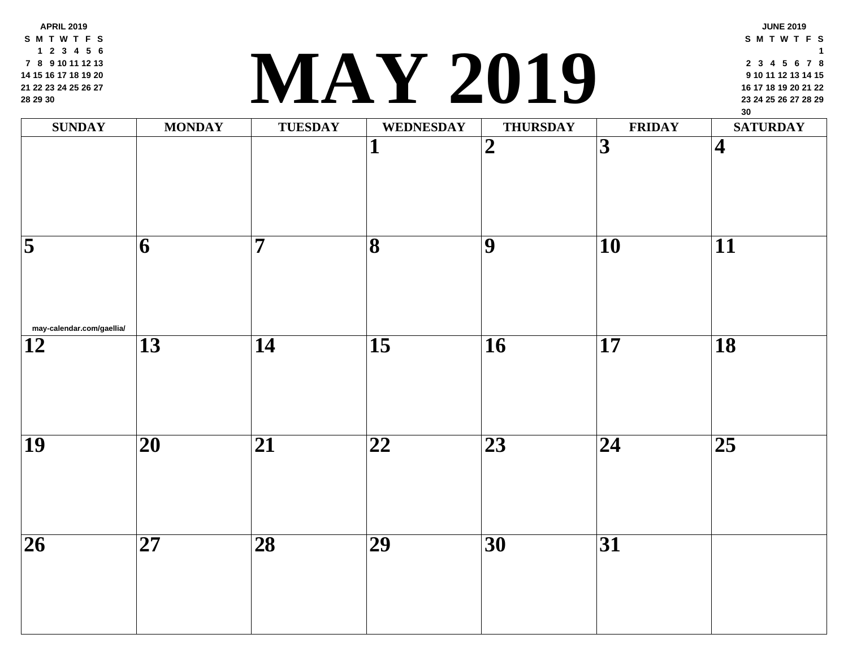**APRIL 2019 S M T W T F S 2 3 4 5 6 8 9 10 11 12 13 15 16 17 18 19 20 22 23 24 25 26 27 29 30**

#### **<sup>23</sup> <sup>24</sup> <sup>25</sup> <sup>26</sup> <sup>27</sup> <sup>28</sup> <sup>29</sup> MAY 2019**

| <b>SUNDAY</b>                                | <b>MONDAY</b>           | TUESDAY         | WEDNESDAY               | <b>THURSDAY</b> | FRII                                |
|----------------------------------------------|-------------------------|-----------------|-------------------------|-----------------|-------------------------------------|
|                                              |                         |                 | 1<br>$\mathbf I$        | $\overline{2}$  | $\overline{3}$                      |
| $\overline{5}$                               | $\overline{\mathbf{6}}$ | $\overline{7}$  | $\overline{\mathbf{8}}$ | $\overline{9}$  | $\overline{10}$                     |
| may-calendar.com/gaellia/<br>$\overline{12}$ | $\overline{13}$         | $\overline{14}$ | $\overline{15}$         | $\overline{16}$ | $\overline{17}$                     |
| $\overline{19}$                              | $\overline{20}$         | $\overline{21}$ | $\overline{22}$         | $\overline{23}$ | $\overline{\overline{\mathbf{24}}}$ |
| $\overline{26}$                              | $\overline{27}$         | $\overline{28}$ | $\overline{29}$         | $\overline{30}$ | $\overline{31}$                     |
|                                              |                         |                 |                         |                 |                                     |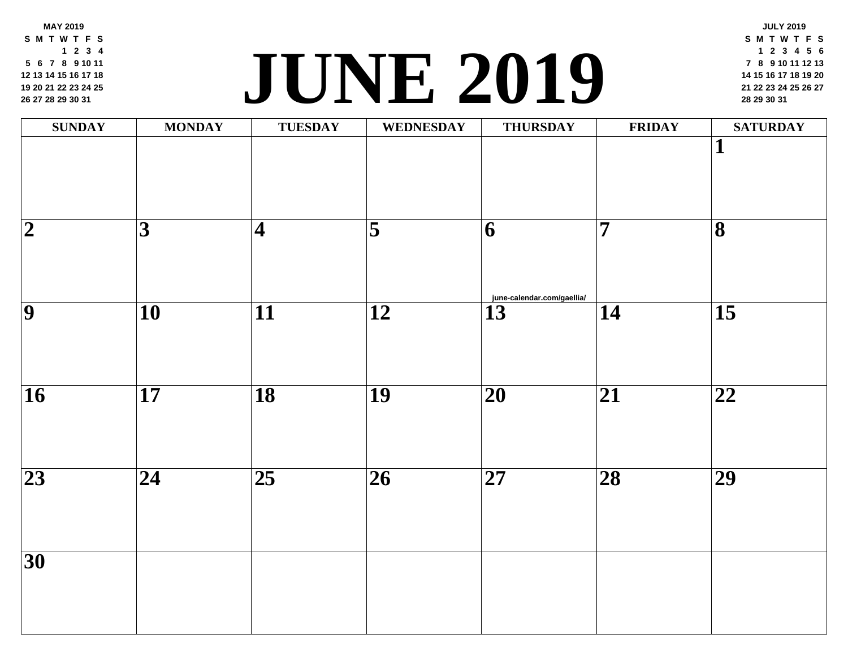**MAY 2019 S M T W T F S 2 3 4 6 7 8 9 10 11 13 14 15 16 17 18 20 21 22 23 24 25 27 28 29 30 31**

## **<sup>21</sup> <sup>22</sup> <sup>23</sup> <sup>24</sup> <sup>25</sup> <sup>26</sup> <sup>27</sup> JUNE [2019](http://june-calendar.com/gaellia/) <sup>28</sup> <sup>29</sup> <sup>30</sup> <sup>31</sup>**

| <b>SUNDAY</b>            | <b>MONDAY</b>   | <b>TUESDAY</b>          | WEDNESDAY               | <b>THURSDAY</b>                 | FRII            |
|--------------------------|-----------------|-------------------------|-------------------------|---------------------------------|-----------------|
|                          |                 |                         |                         |                                 |                 |
| $\overline{\mathbf{2}}$  | $\overline{3}$  | $\overline{\mathbf{4}}$ | $\overline{\mathbf{5}}$ | 6<br>june-calendar.com/gaellia/ | $\overline{7}$  |
| $\overline{9}$           | $\overline{10}$ | $\overline{11}$         | $\overline{12}$         | $\overline{13}$                 | $\overline{14}$ |
| $\overline{\mathbf{16}}$ | $\overline{17}$ | $\overline{18}$         | $\overline{19}$         | $\overline{20}$                 | $\overline{21}$ |
| $\overline{23}$          | $\overline{24}$ | $\overline{25}$         | $\overline{26}$         | $\overline{27}$                 | $\overline{28}$ |
| $\overline{30}$          |                 |                         |                         |                                 |                 |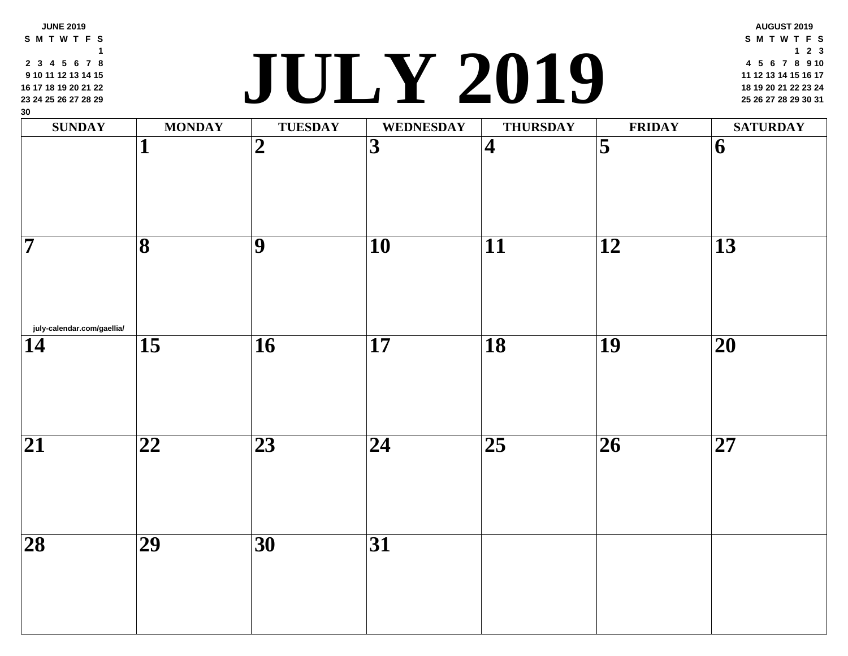| 9 10 11 12 13 14 15<br>16 17 18 19 20 21 22<br>23 24 25 26 27 28 29<br>30 |                         | $\overline{\mathbf{d}}$ | JULY ZUIY               |                         |                         |
|---------------------------------------------------------------------------|-------------------------|-------------------------|-------------------------|-------------------------|-------------------------|
| <b>SUNDAY</b>                                                             | <b>MONDAY</b>           | <b>TUESDAY</b>          | <b>WEDNESDAY</b>        | <b>THURSDAY</b>         | <b>FRII</b>             |
|                                                                           | 1                       | $\overline{2}$          | $\overline{\mathbf{3}}$ | $\overline{\mathbf{4}}$ | $\overline{\mathbf{5}}$ |
| $\overline{\bf 7}$                                                        | $\overline{\mathbf{8}}$ | 9                       | 10                      | $\overline{11}$         | $\overline{12}$         |
| july-calendar.com/gaellia/<br>14                                          | $\overline{15}$         | $\overline{16}$         | $\overline{17}$         | $\overline{18}$         | $\overline{19}$         |
| $\overline{21}$                                                           | $\overline{22}$         | $\overline{23}$         | $\overline{24}$         | $\overline{25}$         | $\overline{26}$         |
| $\overline{28}$                                                           | $\overline{29}$         | 30                      | $\overline{31}$         |                         |                         |
|                                                                           |                         |                         |                         |                         |                         |

 **3 4 5 6 7 8**

**JUNE 2019 S M T W T F S**

#### **<sup>18</sup> <sup>19</sup> <sup>20</sup> <sup>21</sup> <sup>22</sup> <sup>23</sup> <sup>24</sup> JULY 2019 <sup>25</sup> <sup>26</sup> <sup>27</sup> <sup>28</sup> <sup>29</sup> <sup>30</sup> <sup>31</sup>**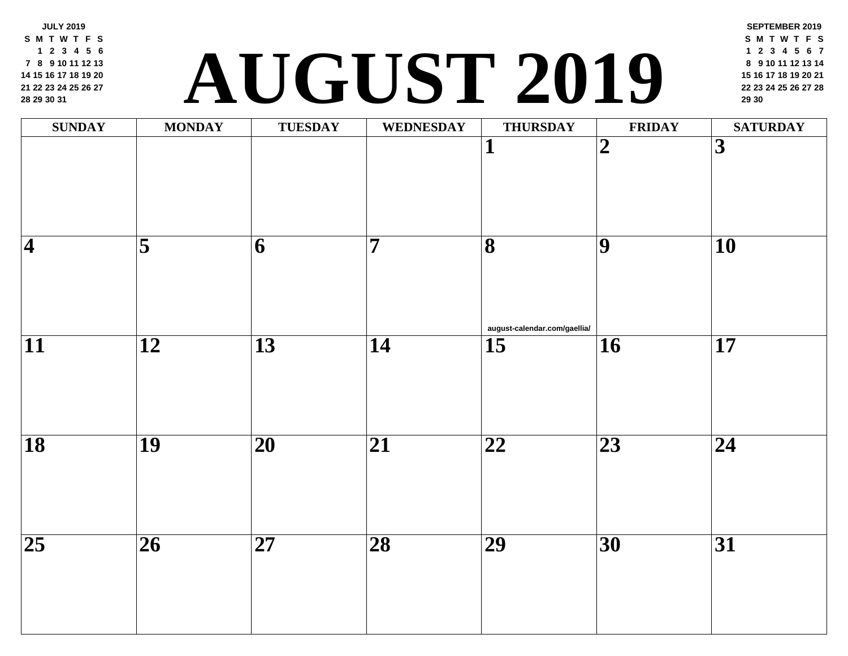**JULY 2019 S M T W T F S 2 3 4 5 6 8 9 10 11 12 13 15 16 17 18 19 20 22 23 24 25 26 27 29 30 31**

## **<sup>22</sup> <sup>23</sup> <sup>24</sup> <sup>25</sup> <sup>26</sup> <sup>27</sup> <sup>28</sup> AUGUST 2019 <sup>29</sup> <sup>30</sup>**

| <b>SUNDAY</b>   | <b>MONDAY</b>           | <b>TUESDAY</b>           | <b>WEDNESDAY</b> | <b>THURSDAY</b>                                         | FRII                     |
|-----------------|-------------------------|--------------------------|------------------|---------------------------------------------------------|--------------------------|
|                 |                         |                          |                  | 1                                                       | $\overline{\mathbf{2}}$  |
| $\overline{4}$  | $\overline{\mathbf{5}}$ | 6                        | $\overline{7}$   | $\overline{\mathbf{8}}$<br>august-calendar.com/gaellia/ | $\overline{9}$           |
| $\overline{11}$ | $\overline{12}$         | $\overline{13}$          | $\overline{14}$  | $\overline{15}$                                         | $\overline{\mathbf{16}}$ |
| $\overline{18}$ | $\overline{19}$         | $\overline{\mathbf{20}}$ | $\overline{21}$  | $\overline{\mathbf{22}}$                                | $\overline{23}$          |
| $\overline{25}$ | $\overline{26}$         | $\overline{27}$          | $\overline{28}$  | $\overline{29}$                                         | $\overline{30}$          |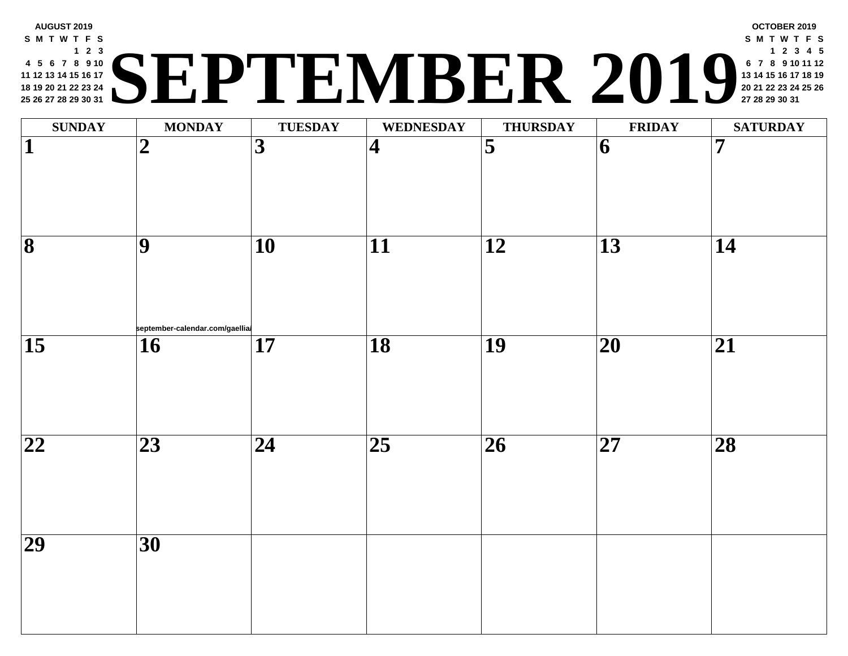#### **AUGUST 2019 S M T W T F S 2 3 5 6 7 8 9 10 12 13 14 15 16 17 19 20 21 22 23 24 26 27 28 29 30 31 <sup>20</sup> <sup>21</sup> <sup>22</sup> <sup>23</sup> <sup>24</sup> <sup>25</sup> <sup>26</sup> SEPTEMBER 2019 <sup>27</sup> <sup>28</sup> <sup>29</sup> <sup>30</sup> <sup>31</sup>**

| <b>SUNDAY</b>                | <b>MONDAY</b>                                       | <b>TUESDAY</b>  | WEDNESDAY               | <b>THURSDAY</b>         | <b>FRII</b>              |
|------------------------------|-----------------------------------------------------|-----------------|-------------------------|-------------------------|--------------------------|
| $\overline{\mathbf{1}}$      | $\boldsymbol{2}$                                    | $\overline{3}$  | $\overline{\mathbf{4}}$ | $\overline{\mathbf{5}}$ | $\vert 6 \vert$          |
| $\overline{\mathbf{8}}$      | $\overline{9}$                                      | $\overline{10}$ | $\overline{11}$         | $\overline{12}$         | $\overline{13}$          |
| $\overline{15}$              | september-calendar.com/gaellia/<br>$\vert 16 \vert$ | $\overline{17}$ | $\overline{18}$         | $\overline{19}$         | $\overline{\mathbf{20}}$ |
| $\overline{\boldsymbol{22}}$ | $\overline{23}$                                     | $\overline{24}$ | $\overline{25}$         | $\overline{26}$         | $\overline{\mathbf{27}}$ |
| $\overline{29}$              | $\overline{30}$                                     |                 |                         |                         |                          |
|                              |                                                     |                 |                         |                         |                          |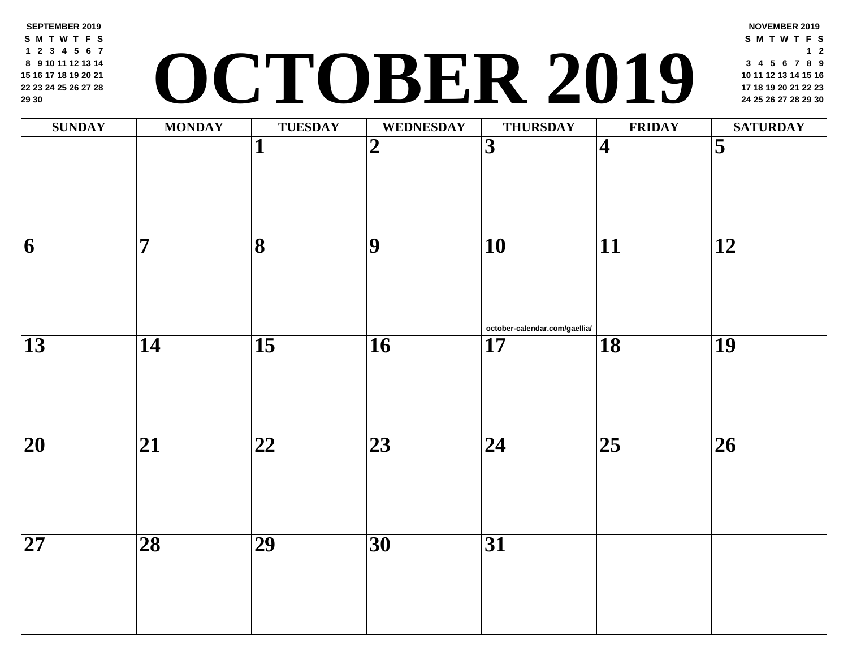**SEPTEMBER 2019 S M T W T F S 2 3 4 5 6 7 9 10 11 12 13 14 16 17 18 19 20 21 23 24 25 26 27 28 30**

# **<sup>17</sup> <sup>18</sup> <sup>19</sup> <sup>20</sup> <sup>21</sup> <sup>22</sup> <sup>23</sup> OCTOBER 2019 <sup>24</sup> <sup>25</sup> <sup>26</sup> <sup>27</sup> <sup>28</sup> <sup>29</sup> <sup>30</sup>**

| <b>SUNDAY</b>            | <b>MONDAY</b>           | <b>TUESDAY</b>          | <b>WEDNESDAY</b> | <b>THURSDAY</b>                                  | FRII                         |
|--------------------------|-------------------------|-------------------------|------------------|--------------------------------------------------|------------------------------|
|                          |                         | $\overline{\mathbf{1}}$ | $\overline{2}$   | $\overline{3}$                                   | $\overline{\mathcal{A}}$     |
| $\overline{6}$           | $\overline{\mathbf{7}}$ | $\overline{\mathbf{8}}$ | $\overline{9}$   | $\overline{10}$                                  | $\overline{11}$              |
| $\overline{13}$          | $\overline{14}$         | $\overline{15}$         | $\overline{16}$  | october-calendar.com/gaellia/<br>$\overline{17}$ | $\overline{18}$              |
| $\overline{20}$          | $\overline{21}$         | $\overline{22}$         | $\overline{23}$  | $\overline{24}$                                  | $\overline{\boldsymbol{25}}$ |
| $\overline{\mathbf{27}}$ | $\overline{28}$         | $\overline{29}$         | $\overline{30}$  | $\overline{31}$                                  |                              |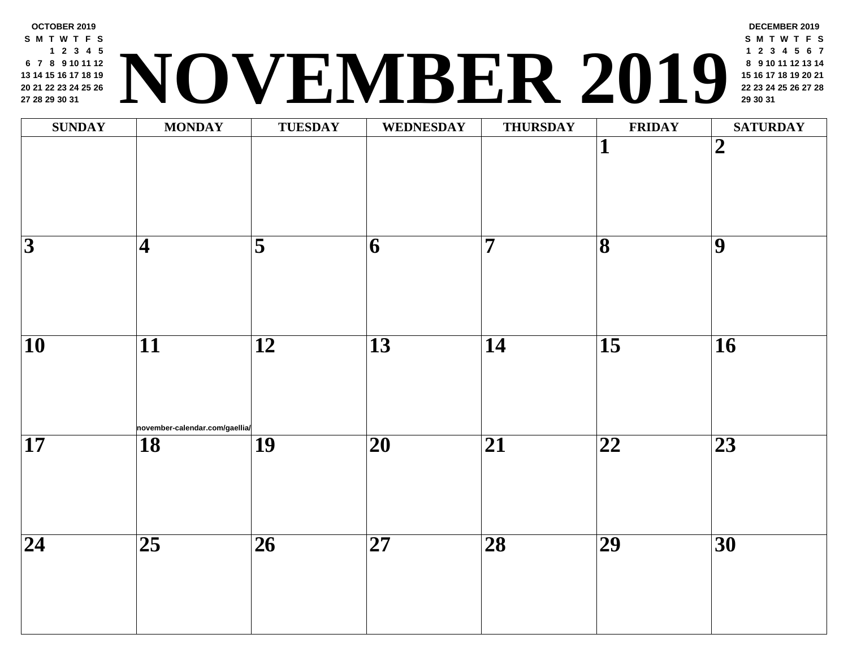

| <b>SUNDAY</b>   | <b>MONDAY</b>                                     | <b>TUESDAY</b>          | <b>WEDNESDAY</b> | <b>THURSDAY</b> | FRII                         |
|-----------------|---------------------------------------------------|-------------------------|------------------|-----------------|------------------------------|
|                 |                                                   |                         |                  |                 | $\mathbf{1}$                 |
| $\overline{3}$  | $\overline{\mathbf{4}}$                           | $\overline{\mathbf{5}}$ | $\vert 6 \vert$  | $\overline{7}$  | $\overline{\mathbf{8}}$      |
| $\overline{10}$ | $\overline{11}$<br>november-calendar.com/gaellia/ | $\overline{12}$         | $\overline{13}$  | $\overline{14}$ | $\overline{\mathbf{15}}$     |
| $\overline{17}$ | $\overline{18}$                                   | $\overline{19}$         | $\overline{20}$  | $\overline{21}$ | $\overline{\boldsymbol{22}}$ |
| $\overline{24}$ | $\overline{25}$                                   | $\overline{26}$         | $\overline{27}$  | $\overline{28}$ | $\overline{29}$              |